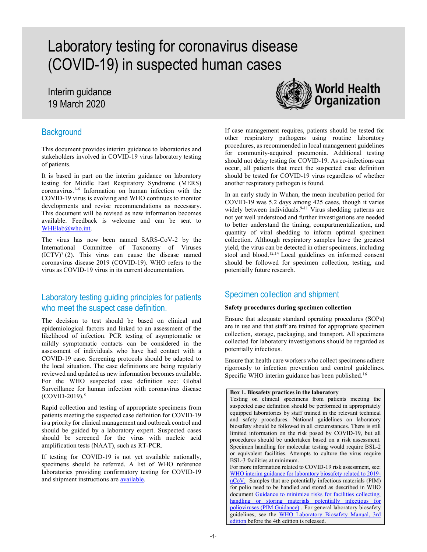# Laboratory testing for coronavirus disease (COVID-19) in suspected human cases

# Interim guidance 19 March 2020

# **Background**

This document provides interim guidance to laboratories and stakeholders involved in COVID-19 virus laboratory testing of patients.

It is based in part on the interim guidance on laboratory testing for Middle East Respiratory Syndrome (MERS) coronavirus.1-6 Information on human infection with the COVID-19 virus is evolving and WHO continues to monitor developments and revise recommendations as necessary. This document will be revised as new information becomes available. Feedback is welcome and can be sent to WHElab@who.int.

The virus has now been named SARS-CoV-2 by the International Committee of Taxonomy of Viruses  $(ICTV)<sup>7</sup> (2)$ . This virus can cause the disease named coronavirus disease 2019 (COVID-19). WHO refers to the virus as COVID-19 virus in its current documentation.

# Laboratory testing guiding principles for patients who meet the suspect case definition.

The decision to test should be based on clinical and epidemiological factors and linked to an assessment of the likelihood of infection. PCR testing of asymptomatic or mildly symptomatic contacts can be considered in the assessment of individuals who have had contact with a COVID-19 case. Screening protocols should be adapted to the local situation. The case definitions are being regularly reviewed and updated as new information becomes available. For the WHO suspected case definition see: Global Surveillance for human infection with coronavirus disease  $(COVID-2019).$ <sup>8</sup>

Rapid collection and testing of appropriate specimens from patients meeting the suspected case definition for COVID-19 is a priority for clinical management and outbreak control and should be guided by a laboratory expert. Suspected cases should be screened for the virus with nucleic acid amplification tests (NAAT), such as RT-PCR.

If testing for COVID-19 is not yet available nationally, specimens should be referred. A list of WHO reference laboratories providing confirmatory testing for COVID-19 and shipment instructions are available.



If case management requires, patients should be tested for other respiratory pathogens using routine laboratory procedures, as recommended in local management guidelines for community-acquired pneumonia. Additional testing should not delay testing for COVID-19. As co-infections can occur, all patients that meet the suspected case definition should be tested for COVID-19 virus regardless of whether another respiratory pathogen is found.

In an early study in Wuhan, the mean incubation period for COVID-19 was 5.2 days among 425 cases, though it varies widely between individuals.<sup>9-11</sup> Virus shedding patterns are not yet well understood and further investigations are needed to better understand the timing, compartmentalization, and quantity of viral shedding to inform optimal specimen collection. Although respiratory samples have the greatest yield, the virus can be detected in other specimens, including stool and blood.<sup>12,14</sup> Local guidelines on informed consent should be followed for specimen collection, testing, and potentially future research.

# Specimen collection and shipment

#### Safety procedures during specimen collection

Ensure that adequate standard operating procedures (SOPs) are in use and that staff are trained for appropriate specimen collection, storage, packaging, and transport. All specimens collected for laboratory investigations should be regarded as potentially infectious.

Ensure that health care workers who collect specimens adhere rigorously to infection prevention and control guidelines. Specific WHO interim guidance has been published.<sup>16</sup>

Box 1. Biosafety practices in the laboratory Testing on clinical specimens from patients meeting the suspected case definition should be performed in appropriately equipped laboratories by staff trained in the relevant technical and safety procedures. National guidelines on laboratory biosafety should be followed in all circumstances. There is still limited information on the risk posed by COVID-19, but all procedures should be undertaken based on a risk assessment. Specimen handling for molecular testing would require BSL-2 or equivalent facilities. Attempts to culture the virus require BSL-3 facilities at minimum. For more information related to COVID-19 risk assessment, see: WHO interim guidance for laboratory biosafety related to 2019 nCoV. Samples that are potentially infectious materials (PIM) for polio need to be handled and stored as described in WHO document Guidance to minimize risks for facilities collecting, handling or storing materials potentially infectious for polioviruses (PIM Guidance) . For general laboratory biosafety guidelines, see the WHO Laboratory Biosafety Manual, 3rd edition before the 4th edition is released.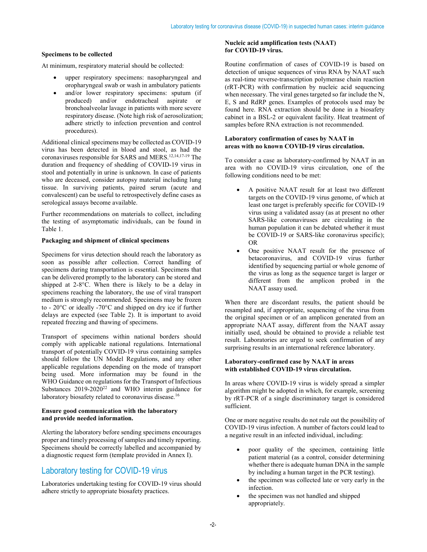#### Specimens to be collected

At minimum, respiratory material should be collected:

- upper respiratory specimens: nasopharyngeal and oropharyngeal swab or wash in ambulatory patients
- and/or lower respiratory specimens: sputum (if produced) and/or endotracheal aspirate or bronchoalveolar lavage in patients with more severe respiratory disease. (Note high risk of aerosolization; adhere strictly to infection prevention and control procedures).

Additional clinical specimens may be collected as COVID-19 virus has been detected in blood and stool, as had the coronaviruses responsible for SARS and MERS.12,14,17-19 The duration and frequency of shedding of COVID-19 virus in stool and potentially in urine is unknown. In case of patients who are deceased, consider autopsy material including lung tissue. In surviving patients, paired serum (acute and convalescent) can be useful to retrospectively define cases as serological assays become available.

Further recommendations on materials to collect, including the testing of asymptomatic individuals, can be found in Table 1.

#### Packaging and shipment of clinical specimens

Specimens for virus detection should reach the laboratory as soon as possible after collection. Correct handling of specimens during transportation is essential. Specimens that can be delivered promptly to the laboratory can be stored and shipped at 2-8°C. When there is likely to be a delay in specimens reaching the laboratory, the use of viral transport medium is strongly recommended. Specimens may be frozen to - 20°C or ideally -70°C and shipped on dry ice if further delays are expected (see Table 2). It is important to avoid repeated freezing and thawing of specimens.

Transport of specimens within national borders should comply with applicable national regulations. International transport of potentially COVID-19 virus containing samples should follow the UN Model Regulations, and any other applicable regulations depending on the mode of transport being used. More information may be found in the WHO Guidance on regulations for the Transport of Infectious Substances 2019-2020<sup>22</sup> and WHO interim guidance for laboratory biosafety related to coronavirus disease.<sup>16</sup>

#### Ensure good communication with the laboratory and provide needed information.

Alerting the laboratory before sending specimens encourages proper and timely processing of samples and timely reporting. Specimens should be correctly labelled and accompanied by a diagnostic request form (template provided in Annex I).

# Laboratory testing for COVID-19 virus

Laboratories undertaking testing for COVID-19 virus should adhere strictly to appropriate biosafety practices.

#### Nucleic acid amplification tests (NAAT) for COVID-19 virus.

Routine confirmation of cases of COVID-19 is based on detection of unique sequences of virus RNA by NAAT such as real-time reverse-transcription polymerase chain reaction (rRT-PCR) with confirmation by nucleic acid sequencing when necessary. The viral genes targeted so far include the N, E, S and RdRP genes. Examples of protocols used may be found here. RNA extraction should be done in a biosafety cabinet in a BSL-2 or equivalent facility. Heat treatment of samples before RNA extraction is not recommended.

#### Laboratory confirmation of cases by NAAT in areas with no known COVID-19 virus circulation.

To consider a case as laboratory-confirmed by NAAT in an area with no COVID-19 virus circulation, one of the following conditions need to be met:

- A positive NAAT result for at least two different targets on the COVID-19 virus genome, of which at least one target is preferably specific for COVID-19 virus using a validated assay (as at present no other SARS-like coronaviruses are circulating in the human population it can be debated whether it must be COVID-19 or SARS-like coronavirus specific); OR
- One positive NAAT result for the presence of betacoronavirus, and COVID-19 virus further identified by sequencing partial or whole genome of the virus as long as the sequence target is larger or different from the amplicon probed in the NAAT assay used.

When there are discordant results, the patient should be resampled and, if appropriate, sequencing of the virus from the original specimen or of an amplicon generated from an appropriate NAAT assay, different from the NAAT assay initially used, should be obtained to provide a reliable test result. Laboratories are urged to seek confirmation of any surprising results in an international reference laboratory.

#### Laboratory-confirmed case by NAAT in areas with established COVID-19 virus circulation.

In areas where COVID-19 virus is widely spread a simpler algorithm might be adopted in which, for example, screening by rRT-PCR of a single discriminatory target is considered sufficient.

One or more negative results do not rule out the possibility of COVID-19 virus infection. A number of factors could lead to a negative result in an infected individual, including:

- poor quality of the specimen, containing little patient material (as a control, consider determining whether there is adequate human DNA in the sample by including a human target in the PCR testing).
- the specimen was collected late or very early in the infection.
- the specimen was not handled and shipped appropriately.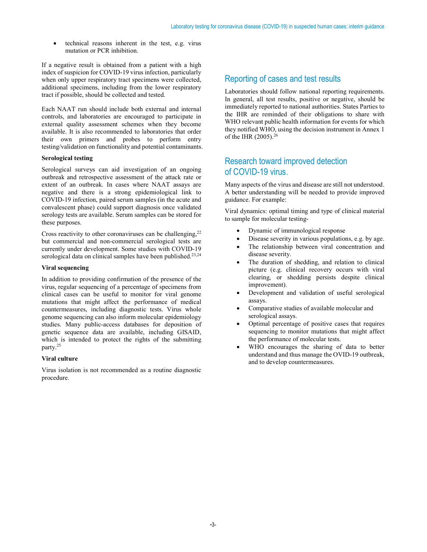technical reasons inherent in the test, e.g. virus mutation or PCR inhibition.

If a negative result is obtained from a patient with a high index of suspicion for COVID-19 virus infection, particularly when only upper respiratory tract specimens were collected, additional specimens, including from the lower respiratory tract if possible, should be collected and tested.

Each NAAT run should include both external and internal controls, and laboratories are encouraged to participate in external quality assessment schemes when they become available. It is also recommended to laboratories that order their own primers and probes to perform entry testing/validation on functionality and potential contaminants.

#### Serological testing

Serological surveys can aid investigation of an ongoing outbreak and retrospective assessment of the attack rate or extent of an outbreak. In cases where NAAT assays are negative and there is a strong epidemiological link to COVID-19 infection, paired serum samples (in the acute and convalescent phase) could support diagnosis once validated serology tests are available. Serum samples can be stored for these purposes.

Cross reactivity to other coronaviruses can be challenging,  $22$ but commercial and non-commercial serological tests are currently under development. Some studies with COVID-19 serological data on clinical samples have been published.<sup>23,24</sup>

#### Viral sequencing

In addition to providing confirmation of the presence of the virus, regular sequencing of a percentage of specimens from clinical cases can be useful to monitor for viral genome mutations that might affect the performance of medical countermeasures, including diagnostic tests. Virus whole genome sequencing can also inform molecular epidemiology studies. Many public-access databases for deposition of genetic sequence data are available, including GISAID, which is intended to protect the rights of the submitting party.<sup>25</sup>

#### Viral culture

Virus isolation is not recommended as a routine diagnostic procedure.

## Reporting of cases and test results

Laboratories should follow national reporting requirements. In general, all test results, positive or negative, should be immediately reported to national authorities. States Parties to the IHR are reminded of their obligations to share with WHO relevant public health information for events for which they notified WHO, using the decision instrument in Annex 1 of the IHR (2005).<sup>26</sup>

# Research toward improved detection of COVID-19 virus.

Many aspects of the virus and disease are still not understood. A better understanding will be needed to provide improved guidance. For example:

Viral dynamics: optimal timing and type of clinical material to sample for molecular testing-

- Dynamic of immunological response
- Disease severity in various populations, e.g. by age.
- The relationship between viral concentration and disease severity.
- The duration of shedding, and relation to clinical picture (e.g. clinical recovery occurs with viral clearing, or shedding persists despite clinical improvement).
- Development and validation of useful serological assays.
- Comparative studies of available molecular and serological assays.
- Optimal percentage of positive cases that requires sequencing to monitor mutations that might affect the performance of molecular tests.
- WHO encourages the sharing of data to better understand and thus manage the OVID-19 outbreak, and to develop countermeasures.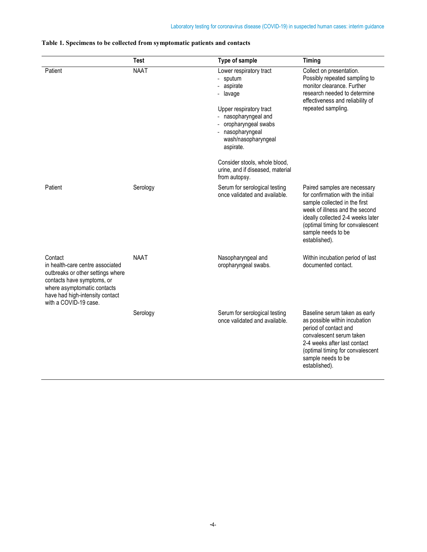|                                                                                                                                                                                                           | <b>Test</b> | Type of sample                                                                                                                                                                                    | Timing                                                                                                                                                                                                                                               |
|-----------------------------------------------------------------------------------------------------------------------------------------------------------------------------------------------------------|-------------|---------------------------------------------------------------------------------------------------------------------------------------------------------------------------------------------------|------------------------------------------------------------------------------------------------------------------------------------------------------------------------------------------------------------------------------------------------------|
| Patient                                                                                                                                                                                                   | <b>NAAT</b> | Lower respiratory tract<br>- sputum<br>- aspirate<br>- lavage<br>Upper respiratory tract<br>- nasopharyngeal and<br>- oropharyngeal swabs<br>- nasopharyngeal<br>wash/nasopharyngeal<br>aspirate. | Collect on presentation.<br>Possibly repeated sampling to<br>monitor clearance. Further<br>research needed to determine<br>effectiveness and reliability of<br>repeated sampling.                                                                    |
|                                                                                                                                                                                                           |             | Consider stools, whole blood,<br>urine, and if diseased, material<br>from autopsy.                                                                                                                |                                                                                                                                                                                                                                                      |
| Patient                                                                                                                                                                                                   | Serology    | Serum for serological testing<br>once validated and available.                                                                                                                                    | Paired samples are necessary<br>for confirmation with the initial<br>sample collected in the first<br>week of illness and the second<br>ideally collected 2-4 weeks later<br>(optimal timing for convalescent<br>sample needs to be<br>established). |
| Contact<br>in health-care centre associated<br>outbreaks or other settings where<br>contacts have symptoms, or<br>where asymptomatic contacts<br>have had high-intensity contact<br>with a COVID-19 case. | <b>NAAT</b> | Nasopharyngeal and<br>oropharyngeal swabs.                                                                                                                                                        | Within incubation period of last<br>documented contact.                                                                                                                                                                                              |
|                                                                                                                                                                                                           | Serology    | Serum for serological testing<br>once validated and available.                                                                                                                                    | Baseline serum taken as early<br>as possible within incubation<br>period of contact and<br>convalescent serum taken<br>2-4 weeks after last contact<br>(optimal timing for convalescent<br>sample needs to be<br>established).                       |

### Table 1. Specimens to be collected from symptomatic patients and contacts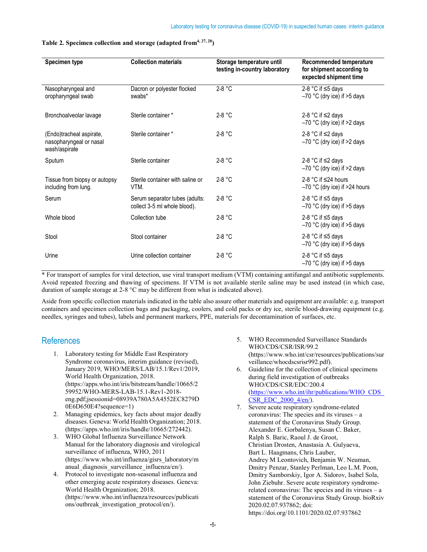| Specimen type                                                        | <b>Collection materials</b>                                    | Storage temperature until<br>testing in-country laboratory | Recommended temperature<br>for shipment according to<br>expected shipment time |
|----------------------------------------------------------------------|----------------------------------------------------------------|------------------------------------------------------------|--------------------------------------------------------------------------------|
| Nasopharyngeal and<br>oropharyngeal swab                             | Dacron or polyester flocked<br>swabs*                          | 2-8 °C                                                     | 2-8 °C if $\leq$ 5 days<br>$-70$ °C (dry ice) if $>5$ days                     |
| Bronchoalveolar lavage                                               | Sterile container *                                            | $2-8$ °C                                                   | 2-8 °C if $\leq$ 2 days<br>$-70$ °C (dry ice) if $>2$ days                     |
| (Endo)tracheal aspirate,<br>nasopharyngeal or nasal<br>wash/aspirate | Sterile container *                                            | $2-8$ °C                                                   | 2-8 °C if $\leq$ 2 days<br>$-70$ °C (dry ice) if $>2$ days                     |
| Sputum                                                               | Sterile container                                              | $2-8$ °C                                                   | 2-8 °C if $\leq$ 2 days<br>$-70$ °C (dry ice) if $>2$ days                     |
| Tissue from biopsy or autopsy<br>including from lung.                | Sterile container with saline or<br>VTM.                       | $2-8$ °C                                                   | 2-8 °C if $\leq$ 24 hours<br>$-70$ °C (dry ice) if >24 hours                   |
| Serum                                                                | Serum separator tubes (adults:<br>collect 3-5 ml whole blood). | $2-8 °C$                                                   | 2-8 °C if $\leq$ 5 days<br>$-70$ °C (dry ice) if $>5$ days                     |
| Whole blood                                                          | Collection tube                                                | $2-8$ °C                                                   | 2-8 °C if $\leq$ 5 days<br>$-70$ °C (dry ice) if $>5$ days                     |
| Stool                                                                | Stool container                                                | $2-8 °C$                                                   | 2-8 °C if $\leq$ 5 days<br>$-70$ °C (dry ice) if $>5$ days                     |
| Urine                                                                | Urine collection container                                     | $2-8$ °C                                                   | 2-8 °C if $\leq$ 5 days<br>$-70$ °C (dry ice) if $>5$ days                     |

#### Table 2. Specimen collection and storage (adapted from  $4, 27, 28$ )

\* For transport of samples for viral detection, use viral transport medium (VTM) containing antifungal and antibiotic supplements. Avoid repeated freezing and thawing of specimens. If VTM is not available sterile saline may be used instead (in which case, duration of sample storage at 2-8 °C may be different from what is indicated above).

Aside from specific collection materials indicated in the table also assure other materials and equipment are available: e.g. transport containers and specimen collection bags and packaging, coolers, and cold packs or dry ice, sterile blood-drawing equipment (e.g. needles, syringes and tubes), labels and permanent markers, PPE, materials for decontamination of surfaces, etc.

### References

- 1. Laboratory testing for Middle East Respiratory Syndrome coronavirus, interim guidance (revised), January 2019, WHO/MERS/LAB/15.1/Rev1/2019, World Health Organization, 2018. (https://apps.who.int/iris/bitstream/handle/10665/2 59952/WHO-MERS-LAB-15.1-Rev1-2018 eng.pdf;jsessionid=08939A780A5A4552EC8279D 0E6D650E4?sequence=1)
- 2. Managing epidemics, key facts about major deadly diseases. Geneva: World Health Organization; 2018. (https://apps.who.int/iris/handle/10665/272442).
- 3. WHO Global Influenza Surveillance Network Manual for the laboratory diagnosis and virological surveillance of influenza, WHO, 2011 (https://www.who.int/influenza/gisrs\_laboratory/m anual diagnosis surveillance influenza/en/).
- 4. Protocol to investigate non-seasonal influenza and other emerging acute respiratory diseases. Geneva: World Health Organization; 2018. (https://www.who.int/influenza/resources/publicati ons/outbreak\_investigation\_protocol/en/).
- 5. WHO Recommended Surveillance Standards WHO/CDS/CSR/ISR/99.2 (https://www.who.int/csr/resources/publications/sur veillance/whocdscsrisr992.pdf).
- 6. Guideline for the collection of clinical specimens during field investigation of outbreaks WHO/CDS/CSR/EDC/200.4 (https://www.who.int/ihr/publications/WHO\_CDS\_ CSR\_EDC\_2000\_4/en/).
- 7. Severe acute respiratory syndrome-related coronavirus: The species and its viruses – a statement of the Coronavirus Study Group. Alexander E. Gorbalenya, Susan C. Baker, Ralph S. Baric, Raoul J. de Groot, Christian Drosten, Anastasia A. Gulyaeva, Bart L. Haagmans, Chris Lauber, Andrey M Leontovich, Benjamin W. Neuman, Dmitry Penzar, Stanley Perlman, Leo L.M. Poon, Dmitry Samborskiy, Igor A. Sidorov, Isabel Sola, John Ziebuhr. Severe acute respiratory syndromerelated coronavirus: The species and its viruses – a statement of the Coronavirus Study Group. bioRxiv 2020.02.07.937862; doi: https://doi.org/10.1101/2020.02.07.937862

-5-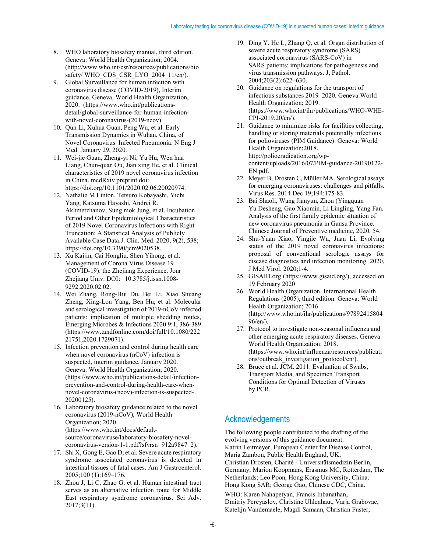- 8. WHO laboratory biosafety manual, third edition. Geneva: World Health Organization; 2004. (http://www.who.int/csr/resources/publications/bio safety/ WHO\_CDS\_CSR\_LYO\_2004\_11/en/).
- 9. Global Surveillance for human infection with coronavirus disease (COVID-2019), Interim guidance, Geneva, World Health Organization, 2020. (https://www.who.int/publicationsdetail/global-surveillance-for-human-infectionwith-novel-coronavirus-(2019-ncov).
- 10. Qun Li, Xuhua Guan, Peng Wu, et al. Early Transmission Dynamics in Wuhan, China, of Novel Coronavirus–Infected Pneumonia. N Eng J Med. January 29, 2020.
- 11. Wei-jie Guan, Zheng-yi Ni, Yu Hu, Wen hua Liang, Chun-quan Ou, Jian xing He, et al. Clinical characteristics of 2019 novel coronavirus infection in China. medRxiv preprint doi: https://doi.org/10.1101/2020.02.06.20020974.
- 12. Nathalie M Linton, Tetsuro Kobayashi, Yichi Yang, Katsuma Hayashi, Andrei R. Akhmetzhanov, Sung mok Jung, et al. Incubation Period and Other Epidemiological Characteristics of 2019 Novel Coronavirus Infections with Right Truncation: A Statistical Analysis of Publicly Available Case Data.J. Clin. Med. 2020, 9(2), 538; https://doi.org/10.3390/jcm9020538.
- 13. Xu Kaijin, Cai Hongliu, Shen Yihong, et al. Management of Corona Virus Disease 19 (COVID-19): the Zhejiang Experience. Jour Zhejiang Univ. DOI: 10.3785/j.issn.1008-9292.2020.02.02.
- 14. Wei Zhang, Rong-Hui Du, Bei Li, Xiao Shuang Zheng, Xing-Lou Yang, Ben Hu, et al. Molecular and serological investigation of 2019-nCoV infected patients: implication of multiple shedding routes, Emerging Microbes & Infections 2020 9:1, 386-389 (https://www.tandfonline.com/doi/full/10.1080/222 21751.2020.1729071).
- 15. Infection prevention and control during health care when novel coronavirus (nCoV) infection is suspected, interim guidance, January 2020. Geneva: World Health Organization; 2020. (https://www.who.int/publications-detail/infectionprevention-and-control-during-health-care-whennovel-coronavirus-(ncov)-infection-is-suspected-20200125).
- 16. Laboratory biosafety guidance related to the novel coronavirus (2019-nCoV), World Health Organization; 2020 (https://www.who.int/docs/defaultsource/coronaviruse/laboratory-biosafety-novelcoronavirus-version-1-1.pdf?sfvrsn=912a9847\_2).
- 17. Shi X, Gong E, Gao D, et al. Severe acute respiratory syndrome associated coronavirus is detected in intestinal tissues of fatal cases. Am J Gastroenterol. 2005;100 (1):169–176.
- 18. Zhou J, Li C, Zhao G, et al. Human intestinal tract serves as an alternative infection route for Middle East respiratory syndrome coronavirus. Sci Adv. 2017;3(11).
- 19. Ding Y, He L, Zhang Q, et al. Organ distribution of severe acute respiratory syndrome (SARS) associated coronavirus (SARS-CoV) in SARS patients: implications for pathogenesis and virus transmission pathways. J, Pathol. 2004;203(2):622–630.
- 20. Guidance on regulations for the transport of infectious substances 2019–2020. Geneva:World Health Organization; 2019. (https://www.who.int/ihr/publications/WHO-WHE-CPI-2019.20/en/).
- 21. Guidance to minimize risks for facilities collecting, handling or storing materials potentially infectious for polioviruses (PIM Guidance). Geneva: World Health Organization;2018. http://polioeradication.org/wpcontent/uploads/2016/07/PIM-guidance-20190122- EN.pdf.
- 22. Meyer B, Drosten C, Müller MA. Serological assays for emerging coronaviruses: challenges and pitfalls. Virus Res. 2014 Dec 19;194:175-83.
- 23. Bai Shaoli, Wang Jianyun, Zhou (Yingquan Yu Desheng, Gao Xiaomin, Li Lingling, Yang Fan. Analysis of the first family epidemic situation of new coronavirus pneumonia in Gansu Province. Chinese Journal of Preventive medicine, 2020, 54.
- 24. Shu-Yuan Xiao, Yingjie Wu, Juan Li, Evolving status of the 2019 novel coronavirus infections: proposal of conventional serologic assays for disease diagnostics and infection monitoring. 2020, J Med Virol. 2020;1-4.
- 25. GISAID.org (https://www.gisaid.org/), accessed on 19 February 2020
- 26. World Health Organization. International Health Regulations (2005), third edition. Geneva: World Health Organization; 2016 (http://www.who.int/ihr/publications/97892415804 96/en/).
- 27. Protocol to investigate non-seasonal influenza and other emerging acute respiratory diseases. Geneva: World Health Organization; 2018. (https://www.who.int/influenza/resources/publicati ons/outbreak investigation protocol/en/).
- 28. Bruce et al. JCM. 2011. Evaluation of Swabs, Transport Media, and Specimen Transport Conditions for Optimal Detection of Viruses by PCR.

# Acknowledgements

The following people contributed to the drafting of the evolving versions of this guidance document: Katrin Leitmeyer, European Center for Disease Control, Maria Zambon, Public Health England, UK; Christian Drosten, Charité - Universitätsmedizin Berlin, Germany; Marion Koopmans, Erasmus MC, Rotterdam, The Netherlands; Leo Poon, Hong Kong University, China, Hong Kong SAR; George Gao, Chinese CDC, China.

WHO: Karen Nahapetyan, Francis Inbanathan, Dmitriy Pereyaslov, Christine Uhlenhaut, Varja Grabovac, Katelijn Vandemaele, Magdi Samaan, Christian Fuster,